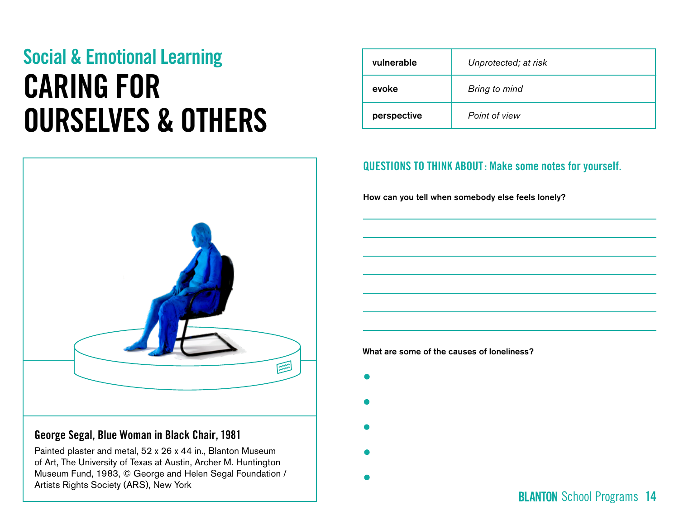# Social & Emotional Learning CARING FOR OURSELVES & OTHERS



### George Segal, **Blue Woman in Black Chair**, 1981

Painted plaster and metal, 52 x 26 x 44 in., Blanton Museum of Art, The University of Texas at Austin, Archer M. Huntington Museum Fund, 1983, © George and Helen Segal Foundation / Artists Rights Society (ARS), New York

| vulnerable  | Unprotected; at risk |
|-------------|----------------------|
| evoke       | Bring to mind        |
| perspective | Point of view        |

### QUESTIONS TO THINK ABOUT: Make some notes for yourself.

How can you tell when somebody else feels lonely?

What are some of the causes of loneliness?

- $\bullet$
- 
- 
- -

**BLANTON** School Programs 14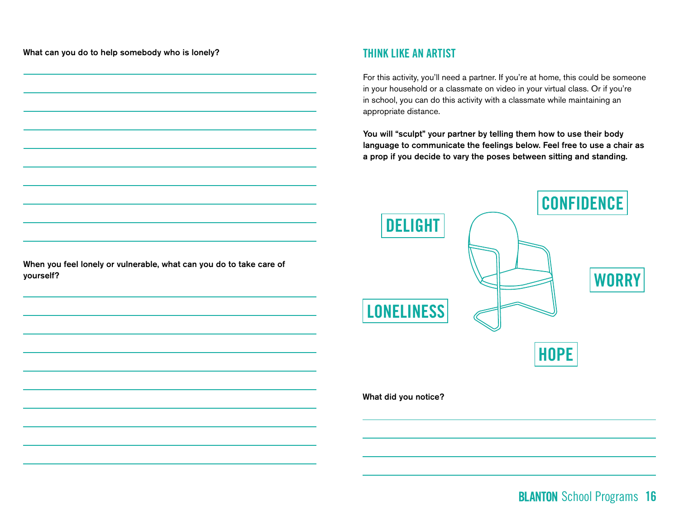What can you do to help somebody who is lonely?

#### THINK LIKE AN ARTIST

For this activity, you'll need a partner. If you're at home, this could be someone in your household or a classmate on video in your virtual class. Or if you're in school, you can do this activity with a classmate while maintaining an appropriate distance.

You will "sculpt" your partner by telling them how to use their body language to communicate the feelings below. Feel free to use a chair as a prop if you decide to vary the poses between sitting and standing.



When you feel lonely or vulnerable, what can you do to take care of yourself?